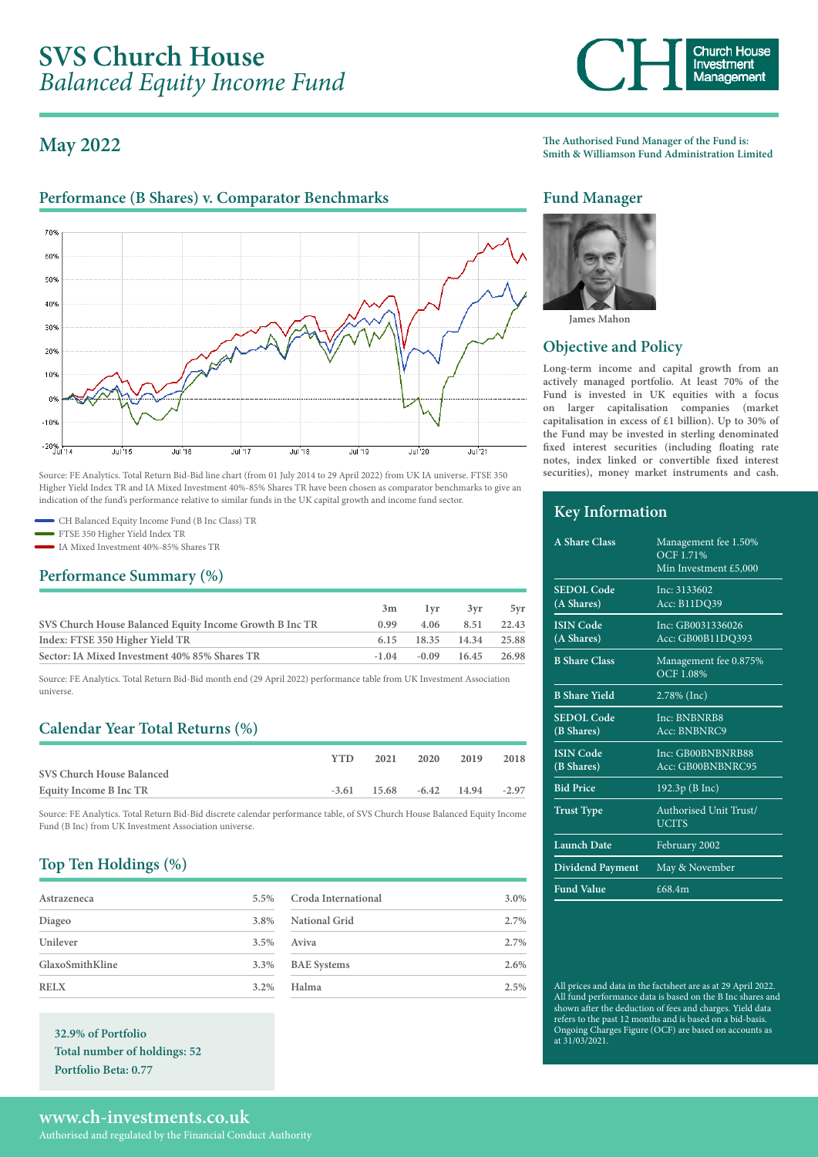# **May 2022**

# Performance (B Shares) v. Comparator Benchmarks **Fund Manager**



Source: FE Analytics. Total Return Bid-Bid line chart (from 01 July 2014 to 29 April 2022) from UK IA universe. FTSE 350 Higher Yield Index TR and IA Mixed Investment 40%-85% Shares TR have been chosen as comparator benchmarks to give an indication of the fund's performance relative to similar funds in the UK capital growth and income fund sector.

CH Balanced Equity Income Fund (B Inc Class) TR

FTSE 350 Higher Yield Index TR

IA Mixed Investment 40%-85% Shares TR

### **Performance Summary (%)**

|                                                         | 3m   | l vr | 3vr                             | 5vr   |
|---------------------------------------------------------|------|------|---------------------------------|-------|
| SVS Church House Balanced Equity Income Growth B Inc TR | 0.99 |      | 4.06 8.51                       | 22.43 |
| Index: FTSE 350 Higher Yield TR                         |      |      | 6.15 18.35 14.34 25.88          |       |
| Sector: IA Mixed Investment 40% 85% Shares TR           |      |      | $-1.04$ $-0.09$ $16.45$ $26.98$ |       |

Source: FE Analytics. Total Return Bid-Bid month end (29 April 2022) performance table from UK Investment Association universe.

# **Calendar Year Total Returns (%)**

|                           | <b>YTD</b> | 2021                            | 2020 | 2019 | 2018    |
|---------------------------|------------|---------------------------------|------|------|---------|
| SVS Church House Balanced |            |                                 |      |      |         |
| Equity Income B Inc TR    |            | $-3.61$ $15.68$ $-6.42$ $14.94$ |      |      | $-2.97$ |
|                           |            |                                 |      |      |         |

Source: FE Analytics. Total Return Bid-Bid discrete calendar performance table, of SVS Church House Balanced Equity Income Fund (B Inc) from UK Investment Association universe.

# **Top Ten Holdings (%)**

| Astrazeneca     | 5.5%    |
|-----------------|---------|
| Diageo          | 3.8%    |
| Unilever        | 3.5%    |
| GlaxoSmithKline | 3.3%    |
| <b>RELX</b>     | $3.2\%$ |

**32.9% of Portfolio Total number of holdings: 52 Portfolio Beta: 0.77**

| Croda International | 3.0% |
|---------------------|------|
| National Grid       | 2.7% |
| Aviva               | 2.7% |
| <b>BAE</b> Systems  | 2.6% |
| Halma               | 2.5% |



**The Authorised Fund Manager of the Fund is: Smith & Williamson Fund Administration Limited**



**James Mahon**

## **Objective and Policy**

**Long-term income and capital growth from an actively managed portfolio. At least 70% of the Fund is invested in UK equities with a focus on larger capitalisation companies (market capitalisation in excess of £1 billion). Up to 30% of the Fund may be invested in sterling denominated fixed interest securities (including floating rate notes, index linked or convertible fixed interest securities), money market instruments and cash.**

## **Key Information**

| A Share Class                   | Management fee 1.50%<br><b>OCF 1.71%</b><br>Min Investment £5,000 |
|---------------------------------|-------------------------------------------------------------------|
| <b>SEDOL</b> Code<br>(A Shares) | Inc: 3133602<br>Acc: B11DQ39                                      |
| <b>ISIN</b> Code<br>(A Shares)  | Inc: GB0031336026<br>Acc: GB00B11DQ393                            |
| <b>B</b> Share Class            | Management fee 0.875%<br><b>OCF 1.08%</b>                         |
| <b>B</b> Share Yield            | 2.78% (Inc)                                                       |
| <b>SEDOL</b> Code<br>(B Shares) | <b>Inc: BNBNRB8</b><br>Acc: BNBNRC9                               |
| <b>ISIN Code</b><br>(B Shares)  | Inc: GB00BNBNRB88<br>Acc: GB00BNBNRC95                            |
| <b>Bid Price</b>                | 192.3p (B Inc)                                                    |
| <b>Trust Type</b>               | Authorised Unit Trust/<br><b>UCITS</b>                            |
| <b>Launch Date</b>              | February 2002                                                     |
| <b>Dividend Payment</b>         | May & November                                                    |
| <b>Fund Value</b>               | £68.4m                                                            |

All prices and data in the factsheet are as at 29 April 2022. All fund performance data is based on the B Inc shares and shown after the deduction of fees and charges. Yield data refers to the past 12 months and is based on a bid-basis. Ongoing Charges Figure (OCF) are based on accounts as at 31/03/2021.